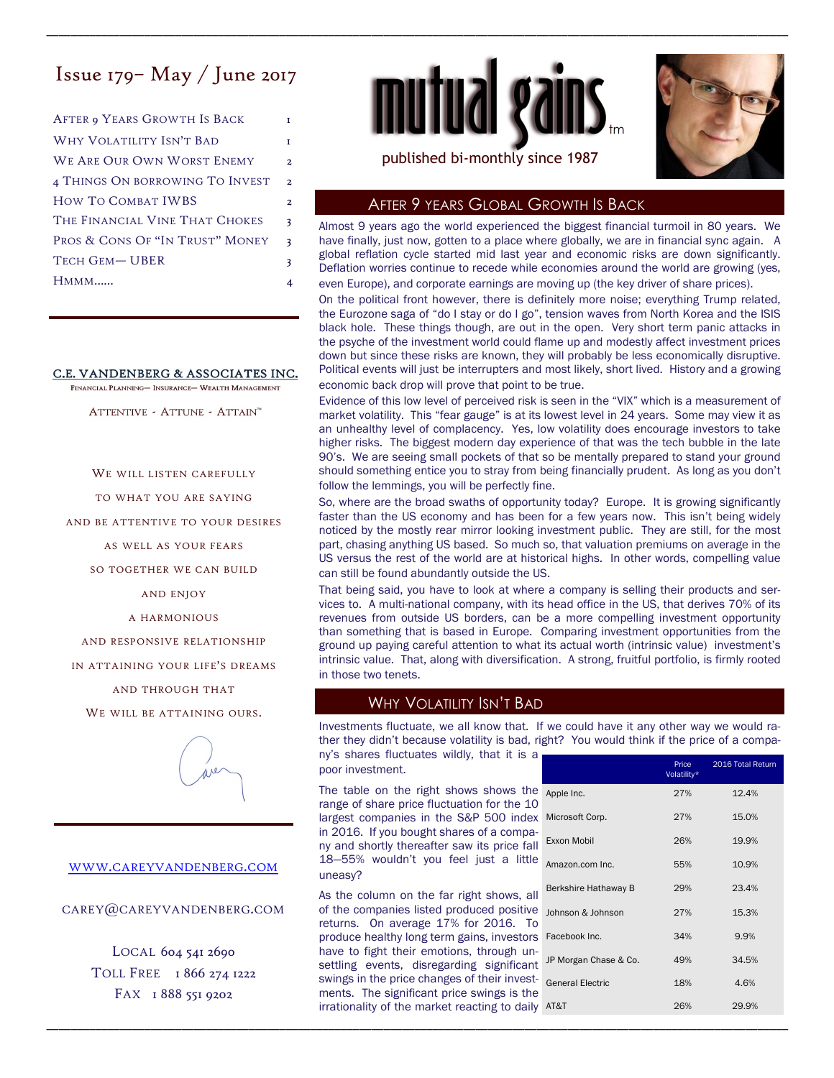# Issue 179– May / June 2017

| <b>AFTER 9 YEARS GROWTH IS BACK</b> | I                       |
|-------------------------------------|-------------------------|
| WHY VOLATILITY ISN'T BAD            | T                       |
| WE ARE OUR OWN WORST ENEMY          | $\overline{a}$          |
| 4 Things On borrowing To Invest     | $\overline{2}$          |
| HOW TO COMBAT IWBS                  | $\overline{a}$          |
| The Financial Vine That Chokes      | $\overline{\mathbf{3}}$ |
| Pros & Cons Of "In Trust" Money     | $\overline{\mathbf{3}}$ |
| Tech Gem— UBER                      | 3                       |
| H <sub>MMM</sub>                    | 4                       |

#### C.E. VANDENBERG & ASSOCIATES INC.

FINANCIAL PLANNING- INSURANCE- WEALTH MANAGEMENT

ATTENTIVE - ATTUNE - ATTAIN™

WE WILL LISTEN CAREFULLY

TO WHAT YOU ARE SAYING

AND BE ATTENTIVE TO YOUR DESIRES

AS WELL AS YOUR FEARS

SO TOGETHER WE CAN BUILD

AND ENJOY

A HARMONIOUS

AND RESPONSIVE RELATIONSHIP

IN ATTAINING YOUR LIFE'S DREAMS

AND THROUGH THAT

WE WILL BE ATTAINING OURS.



#### WWW.CAREYVANDENBERG.COM

CAREY@CAREYVANDENBERG.COM

LOCAL 604 541 2690 TOLL FREE 1 866 274 1222 FAX 1 888 551 9202



\_\_\_\_\_\_\_\_\_\_\_\_\_\_\_\_\_\_\_\_\_\_\_\_\_\_\_\_\_\_\_\_\_\_\_\_\_\_\_\_\_\_\_\_\_\_\_\_\_\_\_\_\_\_\_\_\_\_\_\_\_\_\_\_\_\_\_\_\_\_\_\_\_\_\_\_\_\_\_\_\_\_\_\_\_\_\_\_\_\_\_\_\_\_\_\_\_\_\_\_\_\_\_\_\_\_\_\_\_\_\_\_\_\_\_\_\_\_\_\_\_



# AFTER 9 YEARS GLOBAL GROWTH IS BACK

Almost 9 years ago the world experienced the biggest financial turmoil in 80 years. We have finally, just now, gotten to a place where globally, we are in financial sync again. A global reflation cycle started mid last year and economic risks are down significantly. Deflation worries continue to recede while economies around the world are growing (yes, even Europe), and corporate earnings are moving up (the key driver of share prices).

On the political front however, there is definitely more noise; everything Trump related, the Eurozone saga of "do I stay or do I go", tension waves from North Korea and the ISIS black hole. These things though, are out in the open. Very short term panic attacks in the psyche of the investment world could flame up and modestly affect investment prices down but since these risks are known, they will probably be less economically disruptive. Political events will just be interrupters and most likely, short lived. History and a growing economic back drop will prove that point to be true.

Evidence of this low level of perceived risk is seen in the "VIX" which is a measurement of market volatility. This "fear gauge" is at its lowest level in 24 years. Some may view it as an unhealthy level of complacency. Yes, low volatility does encourage investors to take higher risks. The biggest modern day experience of that was the tech bubble in the late 90's. We are seeing small pockets of that so be mentally prepared to stand your ground should something entice you to stray from being financially prudent. As long as you don't follow the lemmings, you will be perfectly fine.

So, where are the broad swaths of opportunity today? Europe. It is growing significantly faster than the US economy and has been for a few years now. This isn't being widely noticed by the mostly rear mirror looking investment public. They are still, for the most part, chasing anything US based. So much so, that valuation premiums on average in the US versus the rest of the world are at historical highs. In other words, compelling value can still be found abundantly outside the US.

That being said, you have to look at where a company is selling their products and services to. A multi-national company, with its head office in the US, that derives 70% of its revenues from outside US borders, can be a more compelling investment opportunity than something that is based in Europe. Comparing investment opportunities from the ground up paying careful attention to what its actual worth (intrinsic value) investment's intrinsic value. That, along with diversification. A strong, fruitful portfolio, is firmly rooted in those two tenets.

# WHY VOLATILITY ISN'T BAD

Investments fluctuate, we all know that. If we could have it any other way we would rather they didn't because volatility is bad, right? You would think if the price of a company's shares fluctuates wildly, that it is a

poor investment.

The table on the right shows shows the range of share price fluctuation for the 10 largest companies in the S&P 500 index in 2016. If you bought shares of a company and shortly thereafter saw its price fall 18—55% wouldn't you feel just a little uneasy?

As the column on the far right shows, all of the companies listed produced positive returns. On average 17% for 2016. To produce healthy long term gains, investors have to fight their emotions, through unsettling events, disregarding significant swings in the price changes of their investments. The significant price swings is the irrationality of the market reacting to daily

|                         | Price<br>Volatility* | 2016 Total Return |
|-------------------------|----------------------|-------------------|
| Apple Inc.              | 27%                  | 12.4%             |
| Microsoft Corp.         | 27%                  | 15.0%             |
| Exxon Mobil             | 26%                  | 19.9%             |
| Amazon.com Inc.         | 55%                  | 10.9%             |
| Berkshire Hathaway B    | 29%                  | 23.4%             |
| Johnson & Johnson       | 27%                  | 15.3%             |
| Facebook Inc.           | 34%                  | 9.9%              |
| JP Morgan Chase & Co.   | 49%                  | 34.5%             |
| <b>General Electric</b> | 18%                  | 4.6%              |
| AT&T                    | 26%                  | 29.9%             |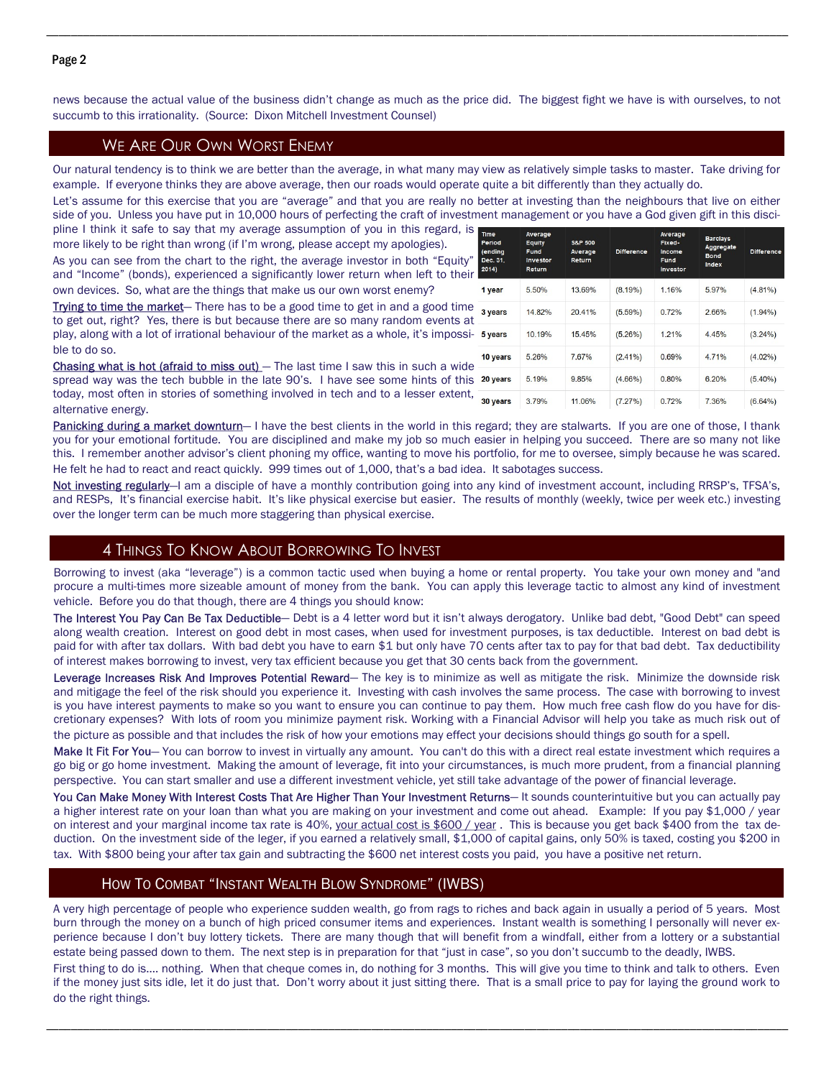#### Page 2

news because the actual value of the business didn't change as much as the price did. The biggest fight we have is with ourselves, to not succumb to this irrationality. (Source: Dixon Mitchell Investment Counsel)

\_\_\_\_\_\_\_\_\_\_\_\_\_\_\_\_\_\_\_\_\_\_\_\_\_\_\_\_\_\_\_\_\_\_\_\_\_\_\_\_\_\_\_\_\_\_\_\_\_\_\_\_\_\_\_\_\_\_\_\_\_\_\_\_\_\_\_\_\_\_\_\_\_\_\_\_\_\_\_\_\_\_\_\_\_\_\_\_\_\_\_\_\_\_\_\_\_\_\_\_\_\_\_\_\_\_\_\_\_\_\_\_\_\_\_\_\_\_\_\_\_

#### WE ARE OUR OWN WORST ENEMY

Our natural tendency is to think we are better than the average, in what many may view as relatively simple tasks to master. Take driving for example. If everyone thinks they are above average, then our roads would operate quite a bit differently than they actually do.

Let's assume for this exercise that you are "average" and that you are really no better at investing than the neighbours that live on either side of you. Unless you have put in 10,000 hours of perfecting the craft of investment management or you have a God given gift in this disci-

pline I think it safe to say that my average assumption of you in this regard, is more likely to be right than wrong (if I'm wrong, please accept my apologies). As you can see from the chart to the right, the average investor in both "Equity" and "Income" (bonds), experienced a significantly lower return when left to their

own devices. So, what are the things that make us our own worst enemy?

Trying to time the market- There has to be a good time to get in and a good time to get out, right? Yes, there is but because there are so many random events at play, along with a lot of irrational behaviour of the market as a whole, it's impossible to do so.

**Chasing what is hot (afraid to miss out)** – The last time I saw this in such a wide spread way was the tech bubble in the late 90's. I have see some hints of this <sup>2</sup> today, most often in stories of something involved in tech and to a lesser extent, alternative energy.

Panicking during a market downturn-I have the best clients in the world in this regard; they are stalwarts. If you are one of those, I thank you for your emotional fortitude. You are disciplined and make my job so much easier in helping you succeed. There are so many not like this. I remember another advisor's client phoning my office, wanting to move his portfolio, for me to oversee, simply because he was scared. He felt he had to react and react quickly. 999 times out of 1,000, that's a bad idea. It sabotages success.

Not investing regularly-I am a disciple of have a monthly contribution going into any kind of investment account, including RRSP's, TFSA's, and RESPs, It's financial exercise habit. It's like physical exercise but easier. The results of monthly (weekly, twice per week etc.) investing over the longer term can be much more staggering than physical exercise.

### 4 THINGS TO KNOW ABOUT BORROWING TO INVEST

Borrowing to invest (aka "leverage") is a common tactic used when buying a home or rental property. You take your own money and "and procure a multi-times more sizeable amount of money from the bank. You can apply this leverage tactic to almost any kind of investment vehicle. Before you do that though, there are 4 things you should know:

The Interest You Pay Can Be Tax Deductible— Debt is a 4 letter word but it isn't always derogatory. Unlike bad debt, "Good Debt" can speed along wealth creation. Interest on good debt in most cases, when used for investment purposes, is tax deductible. Interest on bad debt is paid for with after tax dollars. With bad debt you have to earn \$1 but only have 70 cents after tax to pay for that bad debt. Tax deductibility of interest makes borrowing to invest, very tax efficient because you get that 30 cents back from the government.

Leverage Increases Risk And Improves Potential Reward— The key is to minimize as well as mitigate the risk. Minimize the downside risk and mitigage the feel of the risk should you experience it. Investing with cash involves the same process. The case with borrowing to invest is you have interest payments to make so you want to ensure you can continue to pay them. How much free cash flow do you have for discretionary expenses? With lots of room you minimize payment risk. Working with a Financial Advisor will help you take as much risk out of the picture as possible and that includes the risk of how your emotions may effect your decisions should things go south for a spell.

Make It Fit For You— You can borrow to invest in virtually any amount. You can't do this with a direct real estate investment which requires a go big or go home investment. Making the amount of leverage, fit into your circumstances, is much more prudent, from a financial planning perspective. You can start smaller and use a different investment vehicle, yet still take advantage of the power of financial leverage.

You Can Make Money With Interest Costs That Are Higher Than Your Investment Returns- It sounds counterintuitive but you can actually pay a higher interest rate on your loan than what you are making on your investment and come out ahead. Example: If you pay \$1,000 / year on interest and your marginal income tax rate is 40%, your actual cost is \$600 / year. This is because you get back \$400 from the tax deduction. On the investment side of the leger, if you earned a relatively small, \$1,000 of capital gains, only 50% is taxed, costing you \$200 in tax. With \$800 being your after tax gain and subtracting the \$600 net interest costs you paid, you have a positive net return.

### HOW TO COMBAT "INSTANT WEALTH BLOW SYNDROME" (IWBS)

A very high percentage of people who experience sudden wealth, go from rags to riches and back again in usually a period of 5 years. Most burn through the money on a bunch of high priced consumer items and experiences. Instant wealth is something I personally will never experience because I don't buy lottery tickets. There are many though that will benefit from a windfall, either from a lottery or a substantial estate being passed down to them. The next step is in preparation for that "just in case", so you don't succumb to the deadly, IWBS. First thing to do is…. nothing. When that cheque comes in, do nothing for 3 months. This will give you time to think and talk to others. Even

if the money just sits idle, let it do just that. Don't worry about it just sitting there. That is a small price to pay for laying the ground work to do the right things.

| ant management or you nave a Gou given girt in this uisci- |                                                        |                                         |                   |                                                 |                                                      |                   |  |  |
|------------------------------------------------------------|--------------------------------------------------------|-----------------------------------------|-------------------|-------------------------------------------------|------------------------------------------------------|-------------------|--|--|
| Time<br>Period<br>ending<br>Dec. 31.<br>2014)              | Average<br>Equity<br>Fund<br>Investor<br><b>Return</b> | <b>S&amp;P 500</b><br>Average<br>Return | <b>Difference</b> | Average<br>Fixed-<br>Income<br>Fund<br>Investor | <b>Barclays</b><br>Aggregate<br><b>Bond</b><br>Index | <b>Difference</b> |  |  |
| I vear                                                     | 5.50%                                                  | 13.69%                                  | (8.19%)           | 1.16%                                           | 5.97%                                                | $(4.81\%)$        |  |  |
| 3 years                                                    | 14.82%                                                 | 20.41%                                  | $(5.59\%)$        | 0.72%                                           | 2.66%                                                | $(1.94\%)$        |  |  |
| 5 years                                                    | 10.19%                                                 | 15.45%                                  | (5.26%)           | 1.21%                                           | 4.45%                                                | $(3.24\%)$        |  |  |
| 10 years                                                   | 5.26%                                                  | 7.67%                                   | $(2.41\%)$        | 0.69%                                           | 4.71%                                                | $(4.02\%)$        |  |  |
| 20 years                                                   | 5.19%                                                  | 9.85%                                   | $(4.66\%)$        | 0.80%                                           | 6.20%                                                | $(5.40\%)$        |  |  |
| 30 years                                                   | 3.79%                                                  | 11.06%                                  | (7.27%)           | 0.72%                                           | 7.36%                                                | $(6.64\%)$        |  |  |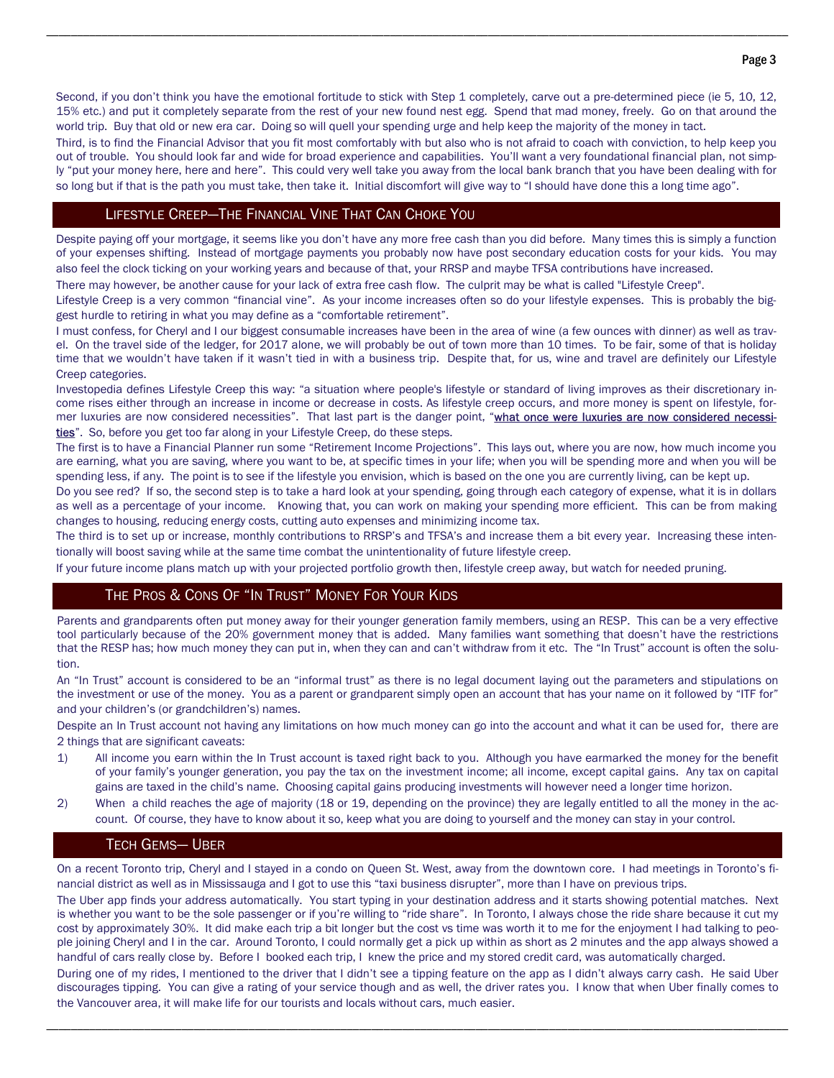Second, if you don't think you have the emotional fortitude to stick with Step 1 completely, carve out a pre-determined piece (ie 5, 10, 12, 15% etc.) and put it completely separate from the rest of your new found nest egg. Spend that mad money, freely. Go on that around the world trip. Buy that old or new era car. Doing so will quell your spending urge and help keep the majority of the money in tact.

\_\_\_\_\_\_\_\_\_\_\_\_\_\_\_\_\_\_\_\_\_\_\_\_\_\_\_\_\_\_\_\_\_\_\_\_\_\_\_\_\_\_\_\_\_\_\_\_\_\_\_\_\_\_\_\_\_\_\_\_\_\_\_\_\_\_\_\_\_\_\_\_\_\_\_\_\_\_\_\_\_\_\_\_\_\_\_\_\_\_\_\_\_\_\_\_\_\_\_\_\_\_\_\_\_\_\_\_\_\_\_\_\_\_\_\_\_\_\_\_\_

Third, is to find the Financial Advisor that you fit most comfortably with but also who is not afraid to coach with conviction, to help keep you out of trouble. You should look far and wide for broad experience and capabilities. You'll want a very foundational financial plan, not simply "put your money here, here and here". This could very well take you away from the local bank branch that you have been dealing with for so long but if that is the path you must take, then take it. Initial discomfort will give way to "I should have done this a long time ago".

# LIFESTYLE CREEP—THE FINANCIAL VINE THAT CAN CHOKE YOU

Despite paying off your mortgage, it seems like you don't have any more free cash than you did before. Many times this is simply a function of your expenses shifting. Instead of mortgage payments you probably now have post secondary education costs for your kids. You may also feel the clock ticking on your working years and because of that, your RRSP and maybe TFSA contributions have increased.

There may however, be another cause for your lack of extra free cash flow. The culprit may be what is called "Lifestyle Creep".

Lifestyle Creep is a very common "financial vine". As your income increases often so do your lifestyle expenses. This is probably the biggest hurdle to retiring in what you may define as a "comfortable retirement".

I must confess, for Cheryl and I our biggest consumable increases have been in the area of wine (a few ounces with dinner) as well as travel. On the travel side of the ledger, for 2017 alone, we will probably be out of town more than 10 times. To be fair, some of that is holiday time that we wouldn't have taken if it wasn't tied in with a business trip. Despite that, for us, wine and travel are definitely our Lifestyle Creep categories.

Investopedia defines Lifestyle Creep this way: "a situation where people's lifestyle or standard of living improves as their discretionary income rises either through an increase in income or decrease in costs. As lifestyle creep occurs, and more money is spent on lifestyle, former luxuries are now considered necessities". That last part is the danger point, "what once were luxuries are now considered necessities". So, before you get too far along in your Lifestyle Creep, do these steps.

The first is to have a Financial Planner run some "Retirement Income Projections". This lays out, where you are now, how much income you are earning, what you are saving, where you want to be, at specific times in your life; when you will be spending more and when you will be spending less, if any. The point is to see if the lifestyle you envision, which is based on the one you are currently living, can be kept up.

Do you see red? If so, the second step is to take a hard look at your spending, going through each category of expense, what it is in dollars as well as a percentage of your income. Knowing that, you can work on making your spending more efficient. This can be from making changes to housing, reducing energy costs, cutting auto expenses and minimizing income tax.

The third is to set up or increase, monthly contributions to RRSP's and TFSA's and increase them a bit every year. Increasing these intentionally will boost saving while at the same time combat the unintentionality of future lifestyle creep.

If your future income plans match up with your projected portfolio growth then, lifestyle creep away, but watch for needed pruning.

### THE PROS & CONS OF "IN TRUST" MONEY FOR YOUR KIDS

Parents and grandparents often put money away for their younger generation family members, using an RESP. This can be a very effective tool particularly because of the 20% government money that is added. Many families want something that doesn't have the restrictions that the RESP has; how much money they can put in, when they can and can't withdraw from it etc. The "In Trust" account is often the solution.

An "In Trust" account is considered to be an "informal trust" as there is no legal document laying out the parameters and stipulations on the investment or use of the money. You as a parent or grandparent simply open an account that has your name on it followed by "ITF for" and your children's (or grandchildren's) names.

Despite an In Trust account not having any limitations on how much money can go into the account and what it can be used for, there are 2 things that are significant caveats:

- 1) All income you earn within the In Trust account is taxed right back to you. Although you have earmarked the money for the benefit of your family's younger generation, you pay the tax on the investment income; all income, except capital gains. Any tax on capital gains are taxed in the child's name. Choosing capital gains producing investments will however need a longer time horizon.
- 2) When a child reaches the age of majority (18 or 19, depending on the province) they are legally entitled to all the money in the account. Of course, they have to know about it so, keep what you are doing to yourself and the money can stay in your control.

### TECH GEMS— UBER

On a recent Toronto trip, Cheryl and I stayed in a condo on Queen St. West, away from the downtown core. I had meetings in Toronto's financial district as well as in Mississauga and I got to use this "taxi business disrupter", more than I have on previous trips.

The Uber app finds your address automatically. You start typing in your destination address and it starts showing potential matches. Next is whether you want to be the sole passenger or if you're willing to "ride share". In Toronto, I always chose the ride share because it cut my cost by approximately 30%. It did make each trip a bit longer but the cost vs time was worth it to me for the enjoyment I had talking to people joining Cheryl and I in the car. Around Toronto, I could normally get a pick up within as short as 2 minutes and the app always showed a handful of cars really close by. Before I booked each trip, I knew the price and my stored credit card, was automatically charged.

During one of my rides, I mentioned to the driver that I didn't see a tipping feature on the app as I didn't always carry cash. He said Uber discourages tipping. You can give a rating of your service though and as well, the driver rates you. I know that when Uber finally comes to the Vancouver area, it will make life for our tourists and locals without cars, much easier.